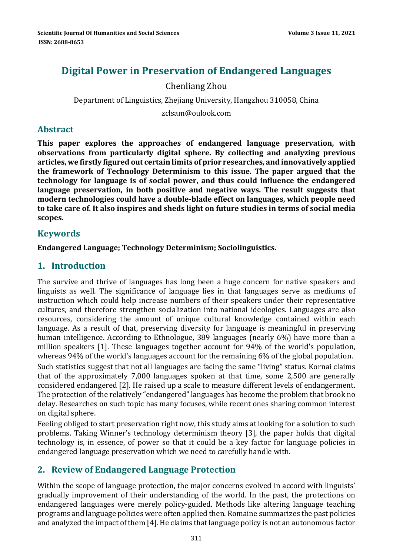# **Digital Power in Preservation of Endangered Languages**

# Chenliang Zhou

Department of Linguistics, Zhejiang University, Hangzhou 310058, China

zclsam@oulook.com 

## **Abstract**

**This paper explores the approaches of endangered language preservation, with observations from particularly digital sphere. By collecting and analyzing previous articles, we firstly figured out certain limits of prior researches, and innovatively applied the framework of Technology Determinism to this issue. The paper argued that the technology for language is of social power, and thus could influence the endangered language preservation, in both positive and negative ways. The result suggests that modern technologies could have a double‐blade effect on languages, which people need to take care of. It also inspires and sheds light on future studies in terms of social media scopes.**

# **Keywords**

### **Endangered Language; Technology Determinism; Sociolinguistics.**

# **1. Introduction**

The survive and thrive of languages has long been a huge concern for native speakers and linguists as well. The significance of language lies in that languages serve as mediums of instruction which could help increase numbers of their speakers under their representative cultures, and therefore strengthen socialization into national ideologies. Languages are also resources, considering the amount of unique cultural knowledge contained within each language. As a result of that, preserving diversity for language is meaningful in preserving human intelligence. According to Ethnologue, 389 languages (nearly 6%) have more than a million speakers [1]. These languages together account for 94% of the world's population, whereas  $94\%$  of the world's languages account for the remaining 6% of the global population. Such statistics suggest that not all languages are facing the same "living" status. Kornai claims that of the approximately 7,000 languages spoken at that time, some 2,500 are generally considered endangered [2]. He raised up a scale to measure different levels of endangerment. The protection of the relatively "endangered" languages has become the problem that brook no delay. Researches on such topic has many focuses, while recent ones sharing common interest

on digital sphere.

Feeling obliged to start preservation right now, this study aims at looking for a solution to such problems. Taking Winner's technology determinism theory [3], the paper holds that digital technology is, in essence, of power so that it could be a key factor for language policies in endangered language preservation which we need to carefully handle with.

# **2. Review of Endangered Language Protection**

Within the scope of language protection, the major concerns evolved in accord with linguists' gradually improvement of their understanding of the world. In the past, the protections on endangered languages were merely policy-guided. Methods like altering language teaching programs and language policies were often applied then. Romaine summarizes the past policies and analyzed the impact of them [4]. He claims that language policy is not an autonomous factor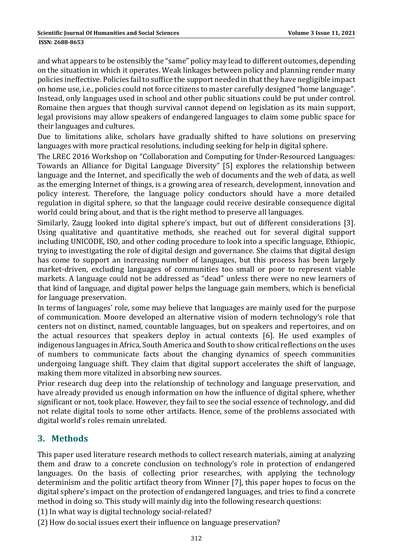#### **ISSN: 2688-8653**

and what appears to be ostensibly the "same" policy may lead to different outcomes, depending on the situation in which it operates. Weak linkages between policy and planning render many policies ineffective. Policies fail to suffice the support needed in that they have negligible impact on home use, i.e., policies could not force citizens to master carefully designed "home language". Instead, only languages used in school and other public situations could be put under control. Romaine then argues that though survival cannot depend on legislation as its main support, legal provisions may allow speakers of endangered languages to claim some public space for their languages and cultures.

Due to limitations alike, scholars have gradually shifted to have solutions on preserving languages with more practical resolutions, including seeking for help in digital sphere.

The LREC 2016 Workshop on "Collaboration and Computing for Under-Resourced Languages: Towards an Alliance for Digital Language Diversity" [5] explores the relationship between language and the Internet, and specifically the web of documents and the web of data, as well as the emerging Internet of things, is a growing area of research, development, innovation and policy interest. Therefore, the language policy conductors should have a more detailed regulation in digital sphere, so that the language could receive desirable consequence digital world could bring about, and that is the right method to preserve all languages.

Similarly, Zaugg looked into digital sphere's impact, but out of different considerations [3]. Using qualitative and quantitative methods, she reached out for several digital support including UNICODE, ISO, and other coding procedure to look into a specific language, Ethiopic, trying to investigating the role of digital design and governance. She claims that digital design has come to support an increasing number of languages, but this process has been largely market-driven, excluding languages of communities too small or poor to represent viable markets. A language could not be addressed as "dead" unless there were no new learners of that kind of language, and digital power helps the language gain members, which is beneficial for language preservation.

In terms of languages' role, some may believe that languages are mainly used for the purpose of communication. Moore developed an alternative vision of modern technology's role that centers not on distinct, named, countable languages, but on speakers and repertoires, and on the actual resources that speakers deploy in actual contexts [6]. He used examples of indigenous languages in Africa, South America and South to show critical reflections on the uses of numbers to communicate facts about the changing dynamics of speech communities undergoing language shift. They claim that digital support accelerates the shift of language, making them more vitalized in absorbing new sources.

Prior research dug deep into the relationship of technology and language preservation, and have already provided us enough information on how the influence of digital sphere, whether significant or not, took place. However, they fail to see the social essence of technology, and did not relate digital tools to some other artifacts. Hence, some of the problems associated with digital world's roles remain unrelated.

# **3. Methods**

This paper used literature research methods to collect research materials, aiming at analyzing them and draw to a concrete conclusion on technology's role in protection of endangered languages. On the basis of collecting prior researches, with applying the technology determinism and the politic artifact theory from Winner [7], this paper hopes to focus on the digital sphere's impact on the protection of endangered languages, and tries to find a concrete method in doing so. This study will mainly dig into the following research questions:

(1) In what way is digital technology social-related?

(2) How do social issues exert their influence on language preservation?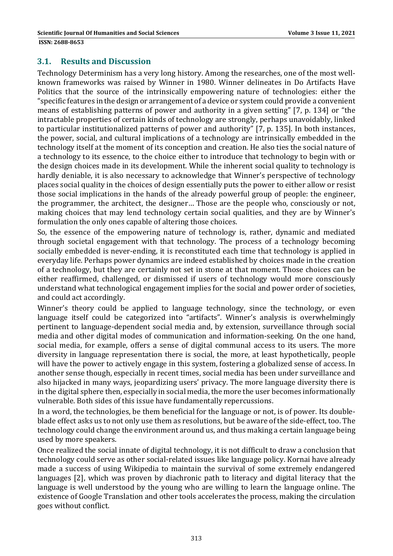### **3.1. Results and Discussion**

Technology Determinism has a very long history. Among the researches, one of the most wellknown frameworks was raised by Winner in 1980. Winner delineates in Do Artifacts Have Politics that the source of the intrinsically empowering nature of technologies: either the "specific features in the design or arrangement of a device or system could provide a convenient means of establishing patterns of power and authority in a given setting" [7, p. 134] or "the intractable properties of certain kinds of technology are strongly, perhaps unavoidably, linked to particular institutionalized patterns of power and authority" [7, p. 135]. In both instances, the power, social, and cultural implications of a technology are intrinsically embedded in the technology itself at the moment of its conception and creation. He also ties the social nature of a technology to its essence, to the choice either to introduce that technology to begin with or the design choices made in its development. While the inherent social quality to technology is hardly deniable, it is also necessary to acknowledge that Winner's perspective of technology places social quality in the choices of design essentially puts the power to either allow or resist those social implications in the hands of the already powerful group of people: the engineer, the programmer, the architect, the designer... Those are the people who, consciously or not, making choices that may lend technology certain social qualities, and they are by Winner's formulation the only ones capable of altering those choices.

So, the essence of the empowering nature of technology is, rather, dynamic and mediated through societal engagement with that technology. The process of a technology becoming socially embedded is never-ending, it is reconstituted each time that technology is applied in everyday life. Perhaps power dynamics are indeed established by choices made in the creation of a technology, but they are certainly not set in stone at that moment. Those choices can be either reaffirmed, challenged, or dismissed if users of technology would more consciously understand what technological engagement implies for the social and power order of societies, and could act accordingly.

Winner's theory could be applied to language technology, since the technology, or even language itself could be categorized into "artifacts". Winner's analysis is overwhelmingly pertinent to language-dependent social media and, by extension, surveillance through social media and other digital modes of communication and information-seeking. On the one hand, social media, for example, offers a sense of digital communal access to its users. The more diversity in language representation there is social, the more, at least hypothetically, people will have the power to actively engage in this system, fostering a globalized sense of access. In another sense though, especially in recent times, social media has been under surveillance and also hijacked in many ways, jeopardizing users' privacy. The more language diversity there is in the digital sphere then, especially in social media, the more the user becomes informationally vulnerable. Both sides of this issue have fundamentally repercussions.

In a word, the technologies, be them beneficial for the language or not, is of power. Its doubleblade effect asks us to not only use them as resolutions, but be aware of the side-effect, too. The technology could change the environment around us, and thus making a certain language being used by more speakers.

Once realized the social innate of digital technology, it is not difficult to draw a conclusion that technology could serve as other social-related issues like language policy. Kornai have already made a success of using Wikipedia to maintain the survival of some extremely endangered languages [2], which was proven by diachronic path to literacy and digital literacy that the language is well understood by the young who are willing to learn the language online. The existence of Google Translation and other tools accelerates the process, making the circulation goes without conflict.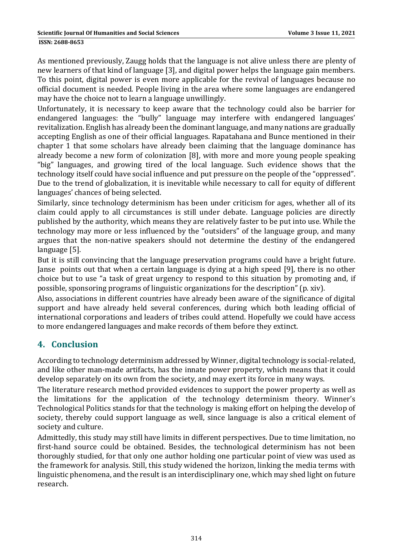**ISSN: 2688-8653** 

As mentioned previously, Zaugg holds that the language is not alive unless there are plenty of new learners of that kind of language [3], and digital power helps the language gain members. To this point, digital power is even more applicable for the revival of languages because no official document is needed. People living in the area where some languages are endangered may have the choice not to learn a language unwillingly.

Unfortunately, it is necessary to keep aware that the technology could also be barrier for endangered languages: the "bully" language may interfere with endangered languages' revitalization. English has already been the dominant language, and many nations are gradually accepting English as one of their official languages. Rapatahana and Bunce mentioned in their chapter 1 that some scholars have already been claiming that the language dominance has already become a new form of colonization [8], with more and more young people speaking "big" languages, and growing tired of the local language. Such evidence shows that the technology itself could have social influence and put pressure on the people of the "oppressed". Due to the trend of globalization, it is inevitable while necessary to call for equity of different languages' chances of being selected.

Similarly, since technology determinism has been under criticism for ages, whether all of its claim could apply to all circumstances is still under debate. Language policies are directly published by the authority, which means they are relatively faster to be put into use. While the technology may more or less influenced by the "outsiders" of the language group, and many argues that the non-native speakers should not determine the destiny of the endangered language [5].

But it is still convincing that the language preservation programs could have a bright future. Janse points out that when a certain language is dying at a high speed [9], there is no other choice but to use "a task of great urgency to respond to this situation by promoting and, if possible, sponsoring programs of linguistic organizations for the description" (p. xiv).

Also, associations in different countries have already been aware of the significance of digital support and have already held several conferences, during which both leading official of international corporations and leaders of tribes could attend. Hopefully we could have access to more endangered languages and make records of them before they extinct.

# **4. Conclusion**

According to technology determinism addressed by Winner, digital technology is social-related, and like other man-made artifacts, has the innate power property, which means that it could develop separately on its own from the society, and may exert its force in many ways.

The literature research method provided evidences to support the power property as well as the limitations for the application of the technology determinism theory. Winner's Technological Politics stands for that the technology is making effort on helping the develop of society, thereby could support language as well, since language is also a critical element of society and culture.

Admittedly, this study may still have limits in different perspectives. Due to time limitation, no first-hand source could be obtained. Besides, the technological determinism has not been thoroughly studied, for that only one author holding one particular point of view was used as the framework for analysis. Still, this study widened the horizon, linking the media terms with linguistic phenomena, and the result is an interdisciplinary one, which may shed light on future research.